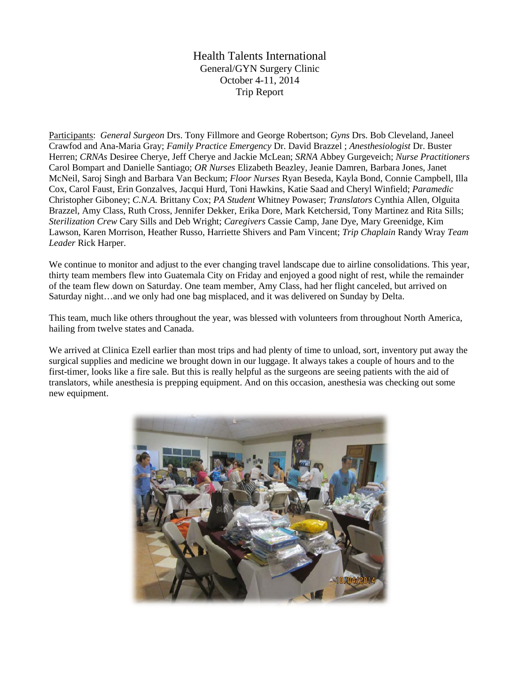Health Talents International General/GYN Surgery Clinic October 4-11, 2014 Trip Report

Participants: *General Surgeon* Drs. Tony Fillmore and George Robertson; *Gyns* Drs. Bob Cleveland, Janeel Crawfod and Ana-Maria Gray; *Family Practice Emergency* Dr. David Brazzel ; *Anesthesiologist* Dr. Buster Herren; *CRNAs* Desiree Cherye, Jeff Cherye and Jackie McLean; *SRNA* Abbey Gurgeveich; *Nurse Practitioners* Carol Bompart and Danielle Santiago; *OR Nurses* Elizabeth Beazley, Jeanie Damren, Barbara Jones, Janet McNeil, Saroj Singh and Barbara Van Beckum; *Floor Nurses* Ryan Beseda, Kayla Bond, Connie Campbell, Illa Cox, Carol Faust, Erin Gonzalves, Jacqui Hurd, Toni Hawkins, Katie Saad and Cheryl Winfield; *Paramedic* Christopher Giboney; *C.N.A.* Brittany Cox; *PA Student* Whitney Powaser; *Translators* Cynthia Allen, Olguita Brazzel, Amy Class, Ruth Cross, Jennifer Dekker, Erika Dore, Mark Ketchersid, Tony Martinez and Rita Sills; *Sterilization Crew* Cary Sills and Deb Wright; *Caregivers* Cassie Camp, Jane Dye, Mary Greenidge, Kim Lawson, Karen Morrison, Heather Russo, Harriette Shivers and Pam Vincent; *Trip Chaplain* Randy Wray *Team Leader* Rick Harper.

We continue to monitor and adjust to the ever changing travel landscape due to airline consolidations. This year, thirty team members flew into Guatemala City on Friday and enjoyed a good night of rest, while the remainder of the team flew down on Saturday. One team member, Amy Class, had her flight canceled, but arrived on Saturday night…and we only had one bag misplaced, and it was delivered on Sunday by Delta.

This team, much like others throughout the year, was blessed with volunteers from throughout North America, hailing from twelve states and Canada.

We arrived at Clinica Ezell earlier than most trips and had plenty of time to unload, sort, inventory put away the surgical supplies and medicine we brought down in our luggage. It always takes a couple of hours and to the first-timer, looks like a fire sale. But this is really helpful as the surgeons are seeing patients with the aid of translators, while anesthesia is prepping equipment. And on this occasion, anesthesia was checking out some new equipment.

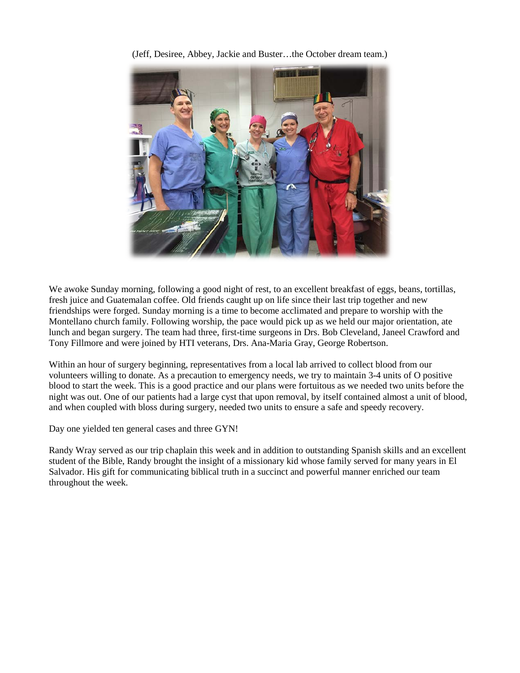

(Jeff, Desiree, Abbey, Jackie and Buster…the October dream team.)

We awoke Sunday morning, following a good night of rest, to an excellent breakfast of eggs, beans, tortillas, fresh juice and Guatemalan coffee. Old friends caught up on life since their last trip together and new friendships were forged. Sunday morning is a time to become acclimated and prepare to worship with the Montellano church family. Following worship, the pace would pick up as we held our major orientation, ate lunch and began surgery. The team had three, first-time surgeons in Drs. Bob Cleveland, Janeel Crawford and Tony Fillmore and were joined by HTI veterans, Drs. Ana-Maria Gray, George Robertson.

Within an hour of surgery beginning, representatives from a local lab arrived to collect blood from our volunteers willing to donate. As a precaution to emergency needs, we try to maintain 3-4 units of O positive blood to start the week. This is a good practice and our plans were fortuitous as we needed two units before the night was out. One of our patients had a large cyst that upon removal, by itself contained almost a unit of blood, and when coupled with bloss during surgery, needed two units to ensure a safe and speedy recovery.

Day one yielded ten general cases and three GYN!

Randy Wray served as our trip chaplain this week and in addition to outstanding Spanish skills and an excellent student of the Bible, Randy brought the insight of a missionary kid whose family served for many years in El Salvador. His gift for communicating biblical truth in a succinct and powerful manner enriched our team throughout the week.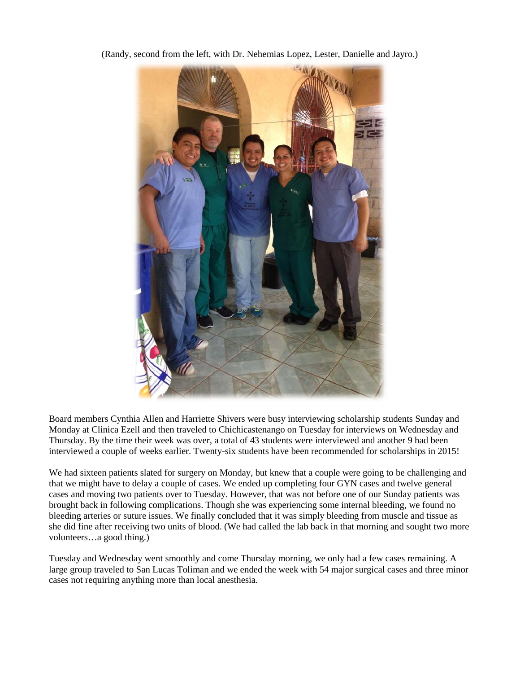

(Randy, second from the left, with Dr. Nehemias Lopez, Lester, Danielle and Jayro.)

Board members Cynthia Allen and Harriette Shivers were busy interviewing scholarship students Sunday and Monday at Clinica Ezell and then traveled to Chichicastenango on Tuesday for interviews on Wednesday and Thursday. By the time their week was over, a total of 43 students were interviewed and another 9 had been interviewed a couple of weeks earlier. Twenty-six students have been recommended for scholarships in 2015!

We had sixteen patients slated for surgery on Monday, but knew that a couple were going to be challenging and that we might have to delay a couple of cases. We ended up completing four GYN cases and twelve general cases and moving two patients over to Tuesday. However, that was not before one of our Sunday patients was brought back in following complications. Though she was experiencing some internal bleeding, we found no bleeding arteries or suture issues. We finally concluded that it was simply bleeding from muscle and tissue as she did fine after receiving two units of blood. (We had called the lab back in that morning and sought two more volunteers…a good thing.)

Tuesday and Wednesday went smoothly and come Thursday morning, we only had a few cases remaining. A large group traveled to San Lucas Toliman and we ended the week with 54 major surgical cases and three minor cases not requiring anything more than local anesthesia.